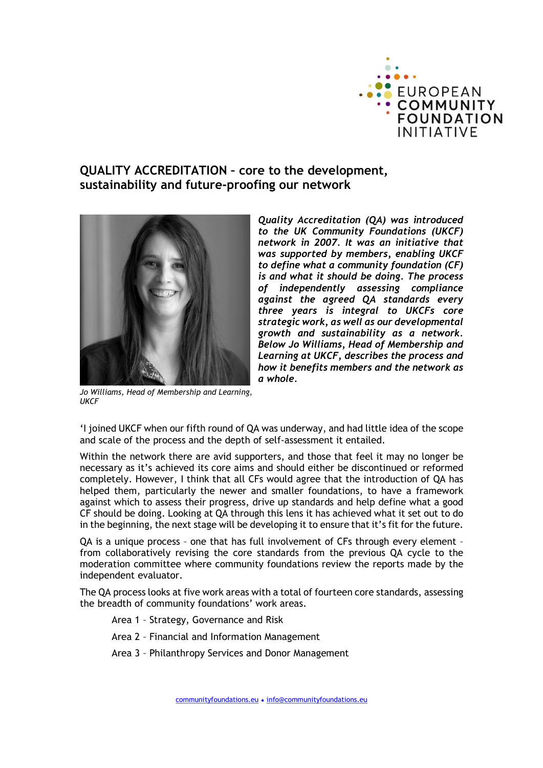

## QUALITY ACCREDITATION – core to the development, sustainability and future-proofing our network



Quality Accreditation (QA) was introduced to the UK Community Foundations (UKCF) network in 2007. It was an initiative that was supported by members, enabling UKCF to define what a community foundation (CF) is and what it should be doing. The process of independently assessing compliance against the agreed QA standards every three years is integral to UKCFs core strategic work, as well as our developmental growth and sustainability as a network. Below Jo Williams, Head of Membership and Learning at UKCF, describes the process and how it benefits members and the network as a whole.

Jo Williams, Head of Membership and Learning, **UKCF** 

'I joined UKCF when our fifth round of QA was underway, and had little idea of the scope and scale of the process and the depth of self-assessment it entailed.

Within the network there are avid supporters, and those that feel it may no longer be necessary as it's achieved its core aims and should either be discontinued or reformed completely. However, I think that all CFs would agree that the introduction of QA has helped them, particularly the newer and smaller foundations, to have a framework against which to assess their progress, drive up standards and help define what a good CF should be doing. Looking at QA through this lens it has achieved what it set out to do in the beginning, the next stage will be developing it to ensure that it's fit for the future.

QA is a unique process – one that has full involvement of CFs through every element – from collaboratively revising the core standards from the previous QA cycle to the moderation committee where community foundations review the reports made by the independent evaluator.

The QA process looks at five work areas with a total of fourteen core standards, assessing the breadth of community foundations' work areas.

- Area 1 Strategy, Governance and Risk
- Area 2 Financial and Information Management
- Area 3 Philanthropy Services and Donor Management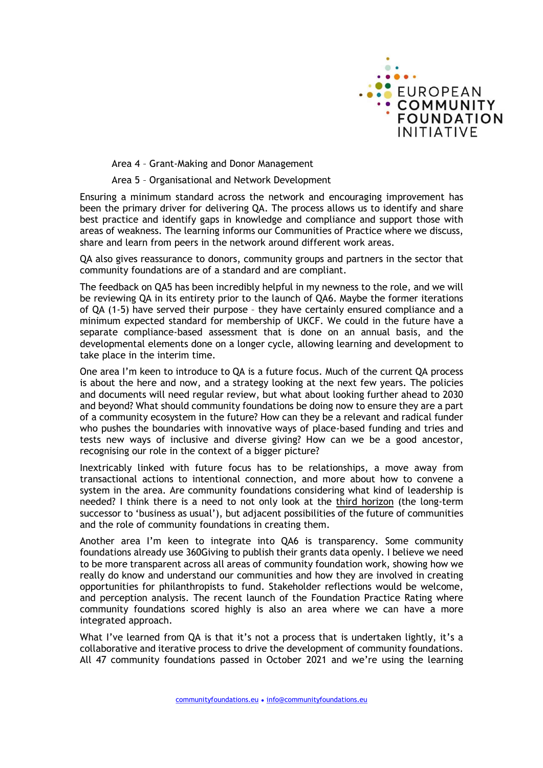

Area 4 – Grant-Making and Donor Management

Area 5 – Organisational and Network Development

Ensuring a minimum standard across the network and encouraging improvement has been the primary driver for delivering QA. The process allows us to identify and share best practice and identify gaps in knowledge and compliance and support those with areas of weakness. The learning informs our Communities of Practice where we discuss, share and learn from peers in the network around different work areas.

QA also gives reassurance to donors, community groups and partners in the sector that community foundations are of a standard and are compliant.

The feedback on QA5 has been incredibly helpful in my newness to the role, and we will be reviewing QA in its entirety prior to the launch of QA6. Maybe the former iterations of QA (1-5) have served their purpose – they have certainly ensured compliance and a minimum expected standard for membership of UKCF. We could in the future have a separate compliance-based assessment that is done on an annual basis, and the developmental elements done on a longer cycle, allowing learning and development to take place in the interim time.

One area I'm keen to introduce to QA is a future focus. Much of the current QA process is about the here and now, and a strategy looking at the next few years. The policies and documents will need regular review, but what about looking further ahead to 2030 and beyond? What should community foundations be doing now to ensure they are a part of a community ecosystem in the future? How can they be a relevant and radical funder who pushes the boundaries with innovative ways of place-based funding and tries and tests new ways of inclusive and diverse giving? How can we be a good ancestor, recognising our role in the context of a bigger picture?

Inextricably linked with future focus has to be relationships, a move away from transactional actions to intentional connection, and more about how to convene a system in the area. Are community foundations considering what kind of leadership is needed? I think there is a need to not only look at the third horizon (the long-term successor to 'business as usual'), but adjacent possibilities of the future of communities and the role of community foundations in creating them.

Another area I'm keen to integrate into QA6 is transparency. Some community foundations already use 360Giving to publish their grants data openly. I believe we need to be more transparent across all areas of community foundation work, showing how we really do know and understand our communities and how they are involved in creating opportunities for philanthropists to fund. Stakeholder reflections would be welcome, and perception analysis. The recent launch of the Foundation Practice Rating where community foundations scored highly is also an area where we can have a more integrated approach.

What I've learned from QA is that it's not a process that is undertaken lightly, it's a collaborative and iterative process to drive the development of community foundations. All 47 community foundations passed in October 2021 and we're using the learning